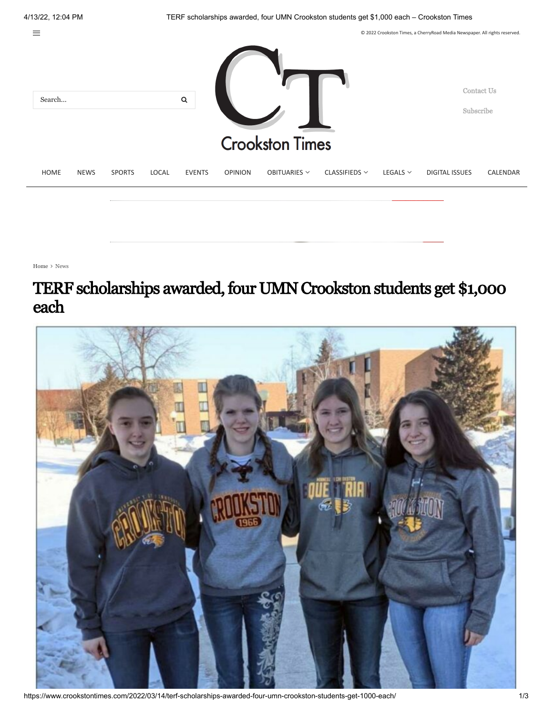

[Home](https://www.crookstontimes.com/)  $\rightarrow$  [News](https://www.crookstontimes.com/category/news/)

## TERF scholarships awarded, four UMN Crookston students get \$1,000 each



https://www.crookstontimes.com/2022/03/14/terf-scholarships-awarded-four-umn-crookston-students-get-1000-each/ 1/3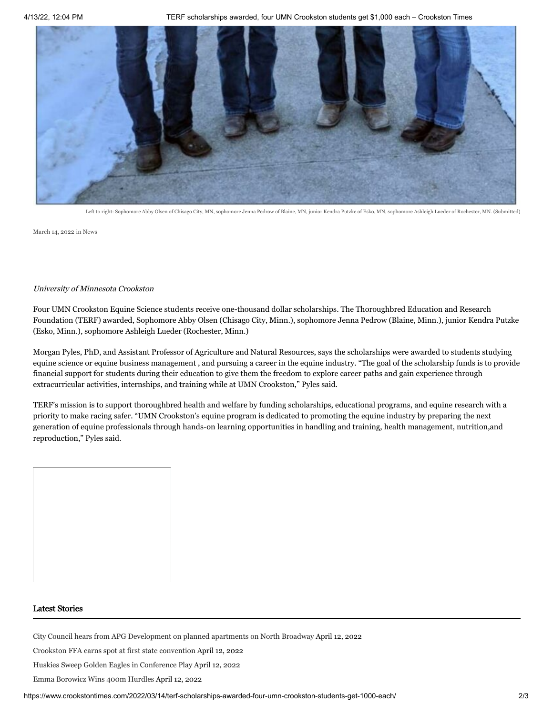

[Left to right: Sophomore Abby Olsen of Chisago City, MN, sophomore Jenna Pedrow of Blaine, MN, junior Kendra Putzke of Esko, MN, sophomore Ashleigh Lueder of Rochester, MN. \(Submitted\)](https://www.crookstontimes.com/wp-content/uploads/2022/03/03-15-10-Ar00603022.jpg)

[March 14, 2022](https://www.crookstontimes.com/2022/03/14/terf-scholarships-awarded-four-umn-crookston-students-get-1000-each/) in [News](https://www.crookstontimes.com/category/news/)

## University of Minnesota Crookston

Four UMN Crookston Equine Science students receive one-thousand dollar scholarships. The Thoroughbred Education and Research Foundation (TERF) awarded, Sophomore Abby Olsen (Chisago City, Minn.), sophomore Jenna Pedrow (Blaine, Minn.), junior Kendra Putzke (Esko, Minn.), sophomore Ashleigh Lueder (Rochester, Minn.)

Morgan Pyles, PhD, and Assistant Professor of Agriculture and Natural Resources, says the scholarships were awarded to students studying equine science or equine business management , and pursuing a career in the equine industry. "The goal of the scholarship funds is to provide financial support for students during their education to give them the freedom to explore career paths and gain experience through extracurricular activities, internships, and training while at UMN Crookston," Pyles said.

TERF's mission is to support thoroughbred health and welfare by funding scholarships, educational programs, and equine research with a priority to make racing safer. "UMN Crookston's equine program is dedicated to promoting the equine industry by preparing the next generation of equine professionals through hands-on learning opportunities in handling and training, health management, nutrition,and reproduction," Pyles said.

## Latest Stories

[City Council hears from APG Development on planned apartments on North Broadway](https://www.crookstontimes.com/2022/04/12/city-council-hears-from-apg-development-on-planned-apartments-on-north-broadway/) April 12, 2022

[Crookston FFA earns spot at first state convention](https://www.crookstontimes.com/2022/04/12/crookston-ffa-earns-spot-at-first-state-convention/) April 12, 2022

[Huskies Sweep Golden Eagles in Conference Play](https://www.crookstontimes.com/2022/04/12/huskies-sweep-golden-eagles-in-conference-play/) April 12, 2022

[Emma Borowicz Wins 400m Hurdles](https://www.crookstontimes.com/2022/04/12/emma-borowicz-wins-400m-hurdles/) April 12, 2022